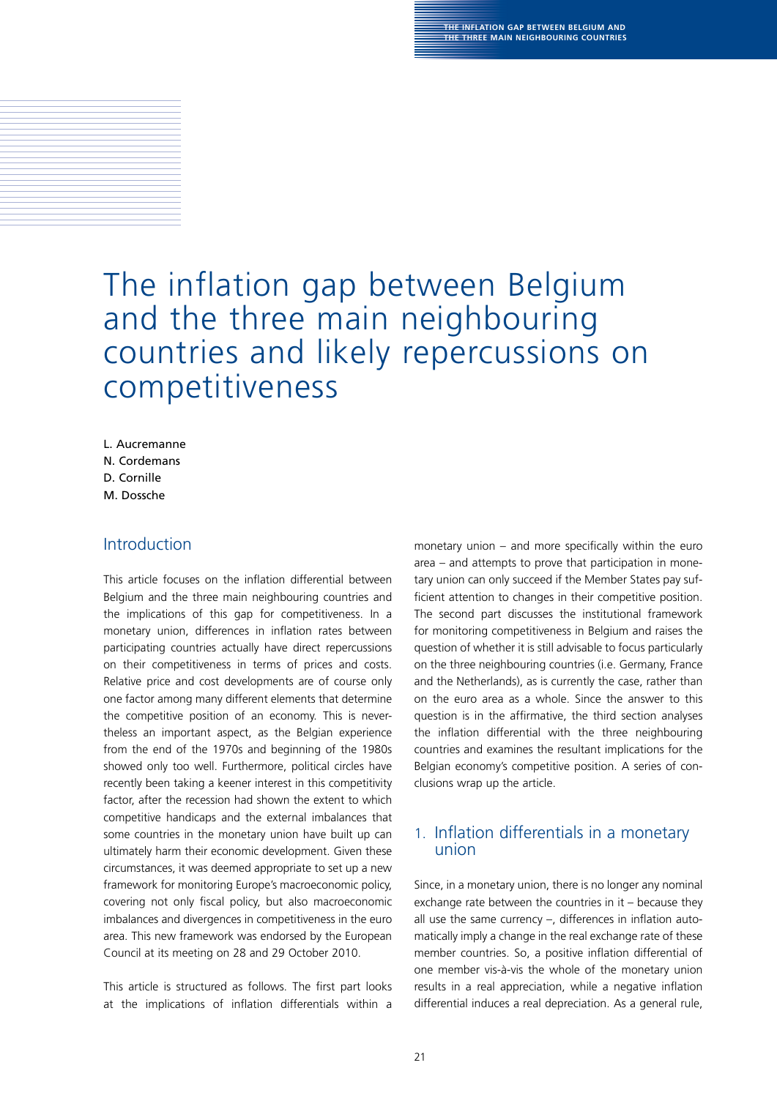# The inflation gap between Belgium and the three main neighbouring countries and likely repercussions on competitiveness

L. Aucremanne n. cordemans D. cornille m. Dossche

# Introduction

This article focuses on the inflation differential between Belgium and the three main neighbouring countries and the implications of this gap for competitiveness. In a monetary union, differences in inflation rates between participating countries actually have direct repercussions on their competitiveness in terms of prices and costs. Relative price and cost developments are of course only one factor among many different elements that determine the competitive position of an economy. This is nevertheless an important aspect, as the Belgian experience from the end of the 1970s and beginning of the 1980s showed only too well. Furthermore, political circles have recently been taking a keener interest in this competitivity factor, after the recession had shown the extent to which competitive handicaps and the external imbalances that some countries in the monetary union have built up can ultimately harm their economic development. Given these circumstances, it was deemed appropriate to set up a new framework for monitoring Europe's macroeconomic policy, covering not only fiscal policy, but also macroeconomic imbalances and divergences in competitiveness in the euro area. This new framework was endorsed by the European Council at its meeting on 28 and 29 October 2010.

This article is structured as follows. The first part looks at the implications of inflation differentials within a monetary union  $-$  and more specifically within the euro area – and attempts to prove that participation in monetary union can only succeed if the Member States pay sufficient attention to changes in their competitive position. The second part discusses the institutional framework for monitoring competitiveness in Belgium and raises the question of whether it is still advisable to focus particularly on the three neighbouring countries (i.e. Germany, France and the Netherlands), as is currently the case, rather than on the euro area as a whole. Since the answer to this question is in the affirmative, the third section analyses the inflation differential with the three neighbouring countries and examines the resultant implications for the Belgian economy's competitive position. A series of conclusions wrap up the article.

# 1. Inflation differentials in a monetary union

Since, in a monetary union, there is no longer any nominal exchange rate between the countries in it – because they all use the same currency  $-$ , differences in inflation automatically imply a change in the real exchange rate of these member countries. So, a positive inflation differential of one member vis-à-vis the whole of the monetary union results in a real appreciation, while a negative inflation differential induces a real depreciation. As a general rule,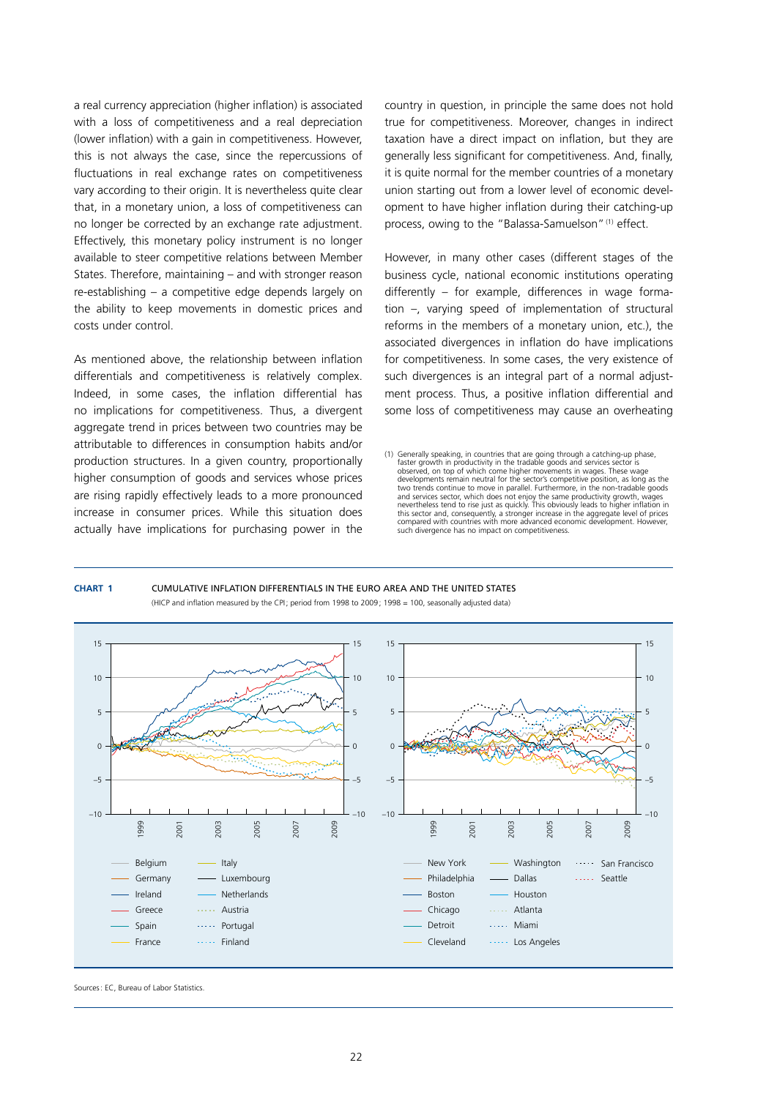a real currency appreciation (higher inflation) is associated with a loss of competitiveness and a real depreciation (lower inflation) with a gain in competitiveness. However, this is not always the case, since the repercussions of fluctuations in real exchange rates on competitiveness vary according to their origin. It is nevertheless quite clear that, in a monetary union, a loss of competitiveness can no longer be corrected by an exchange rate adjustment. Effectively, this monetary policy instrument is no longer available to steer competitive relations between Member States. Therefore, maintaining – and with stronger reason re-establishing – a competitive edge depends largely on the ability to keep movements in domestic prices and costs under control.

As mentioned above, the relationship between inflation differentials and competitiveness is relatively complex. Indeed, in some cases, the inflation differential has no implications for competitiveness. Thus, a divergent aggregate trend in prices between two countries may be attributable to differences in consumption habits and/or production structures. In a given country, proportionally higher consumption of goods and services whose prices are rising rapidly effectively leads to a more pronounced increase in consumer prices. While this situation does actually have implications for purchasing power in the

country in question, in principle the same does not hold true for competitiveness. Moreover, changes in indirect taxation have a direct impact on inflation, but they are generally less significant for competitiveness. And, finally, it is quite normal for the member countries of a monetary union starting out from a lower level of economic development to have higher inflation during their catching-up process, owing to the "Balassa-Samuelson"(1) effect.

However, in many other cases (different stages of the business cycle, national economic institutions operating differently – for example, differences in wage formation –, varying speed of implementation of structural reforms in the members of a monetary union, etc.), the associated divergences in inflation do have implications for competitiveness. In some cases, the very existence of such divergences is an integral part of a normal adjustment process. Thus, a positive inflation differential and some loss of competitiveness may cause an overheating

### **Chart 1** Cumulative inflation differentials in the euro area and the United States (HICP and inflation measured by the CPI; period from 1998 to 2009; 1998 = 100, seasonally adjusted data)



Sources: EC, Bureau of Labor Statistics.

<sup>(1)</sup> Generally speaking, in countries that are going through a catching-up phase, faster growth in productivity in the tradable goods and services sector is<br>observed, on top of which come higher movements in wages. These wage<br>developments remain neutral for the sector's competitive position, as long as two trends continue to move in parallel. Furthermore, in the non-tradable goods and services sector, which does not enjoy the same productivity growth, wages nevertheless tend to rise just as quickly. This obviously leads to higher inflation in this sector and, consequently, a stronger increase in the aggregate level of prices compared with countries with more advanced economic development. However, such divergence has no impact on competitiveness.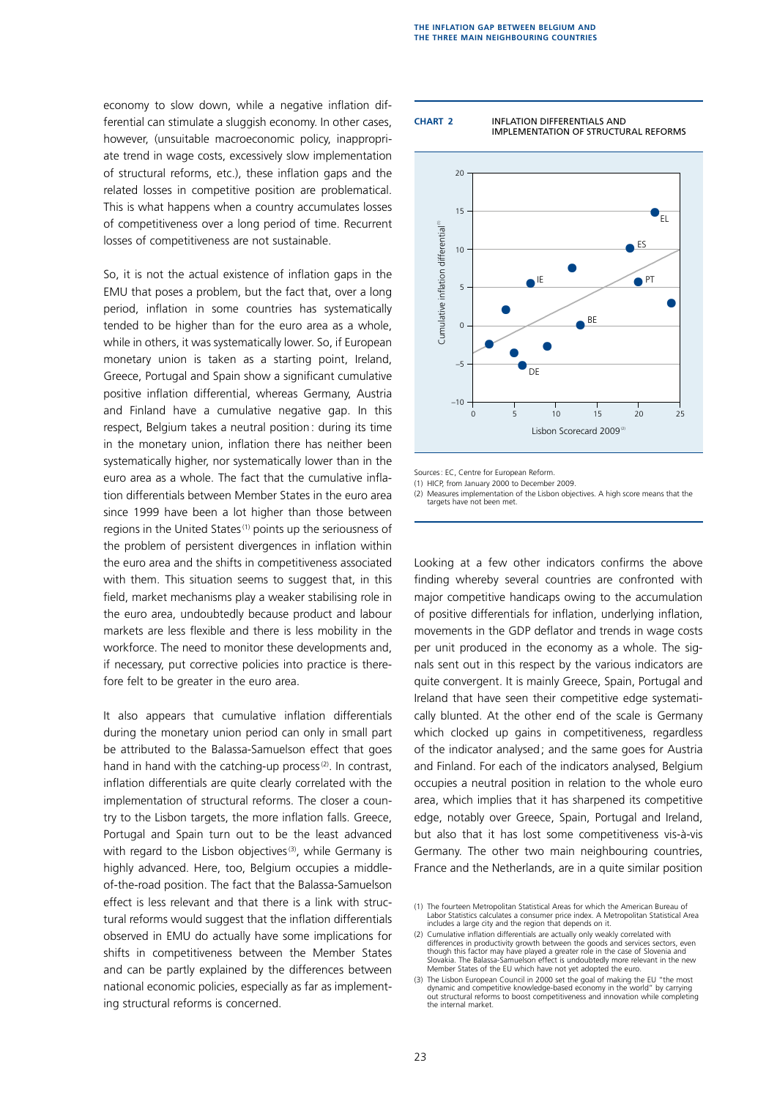economy to slow down, while a negative inflation differential can stimulate a sluggish economy. In other cases, however, (unsuitable macroeconomic policy, inappropriate trend in wage costs, excessively slow implementation of structural reforms, etc.), these inflation gaps and the related losses in competitive position are problematical. This is what happens when a country accumulates losses of competitiveness over a long period of time. Recurrent losses of competitiveness are not sustainable.

So, it is not the actual existence of inflation gaps in the EMU that poses a problem, but the fact that, over a long period, inflation in some countries has systematically tended to be higher than for the euro area as a whole, while in others, it was systematically lower. So, if European monetary union is taken as a starting point, Ireland, Greece, Portugal and Spain show a significant cumulative positive inflation differential, whereas Germany, Austria and Finland have a cumulative negative gap. In this respect, Belgium takes a neutral position: during its time in the monetary union, inflation there has neither been systematically higher, nor systematically lower than in the euro area as a whole. The fact that the cumulative inflation differentials between Member States in the euro area since 1999 have been a lot higher than those between regions in the United States<sup>(1)</sup> points up the seriousness of the problem of persistent divergences in inflation within the euro area and the shifts in competitiveness associated with them. This situation seems to suggest that, in this field, market mechanisms play a weaker stabilising role in the euro area, undoubtedly because product and labour markets are less flexible and there is less mobility in the workforce. The need to monitor these developments and, if necessary, put corrective policies into practice is therefore felt to be greater in the euro area.

It also appears that cumulative inflation differentials during the monetary union period can only in small part be attributed to the Balassa-Samuelson effect that goes hand in hand with the catching-up process $(2)$ . In contrast, inflation differentials are quite clearly correlated with the implementation of structural reforms. The closer a country to the Lisbon targets, the more inflation falls. Greece, Portugal and Spain turn out to be the least advanced with regard to the Lisbon objectives<sup>(3)</sup>, while Germany is highly advanced. Here, too, Belgium occupies a middleof-the-road position. The fact that the Balassa-Samuelson effect is less relevant and that there is a link with structural reforms would suggest that the inflation differentials observed in EMU do actually have some implications for shifts in competitiveness between the Member States and can be partly explained by the differences between national economic policies, especially as far as implementing structural reforms is concerned.

**Chart 2** Inflation differentials and implementation of structural reforms



Sources: EC, Centre for European Reform.

(1) HICP, from January 2000 to December 2009.

(2) Measures implementation of the Lisbon objectives. A high score means that the targets have not been met.

Looking at a few other indicators confirms the above finding whereby several countries are confronted with major competitive handicaps owing to the accumulation of positive differentials for inflation, underlying inflation, movements in the GDP deflator and trends in wage costs per unit produced in the economy as a whole. The signals sent out in this respect by the various indicators are quite convergent. It is mainly Greece, Spain, Portugal and Ireland that have seen their competitive edge systematically blunted. At the other end of the scale is Germany which clocked up gains in competitiveness, regardless of the indicator analysed; and the same goes for Austria and Finland. For each of the indicators analysed, Belgium occupies a neutral position in relation to the whole euro area, which implies that it has sharpened its competitive edge, notably over Greece, Spain, Portugal and Ireland, but also that it has lost some competitiveness vis-à-vis Germany. The other two main neighbouring countries, France and the Netherlands, are in a quite similar position

<sup>(1)</sup> The fourteen Metropolitan Statistical Areas for which the American Bureau of Labor Statistics calculates a consumer price index. A Metropolitan Statistical Area includes a large city and the region that depends on it.

<sup>(2)</sup> Cumulative inflation differentials are actually only weakly correlated with differences in productivity growth between the goods and services sectors, even though this factor may have played a greater role in the case of Slovenia and Slovakia. The Balassa-Samuelson effect is undoubtedly more relevant in the new Member States of the EU which have not yet adopted the euro.

<sup>(3)</sup> The Lisbon European Council in 2000 set the goal of making the EU "the most dynamic and competitive knowledge-based economy in the world" by carrying out structural reforms to boost competitiveness and innovation while completing the internal market.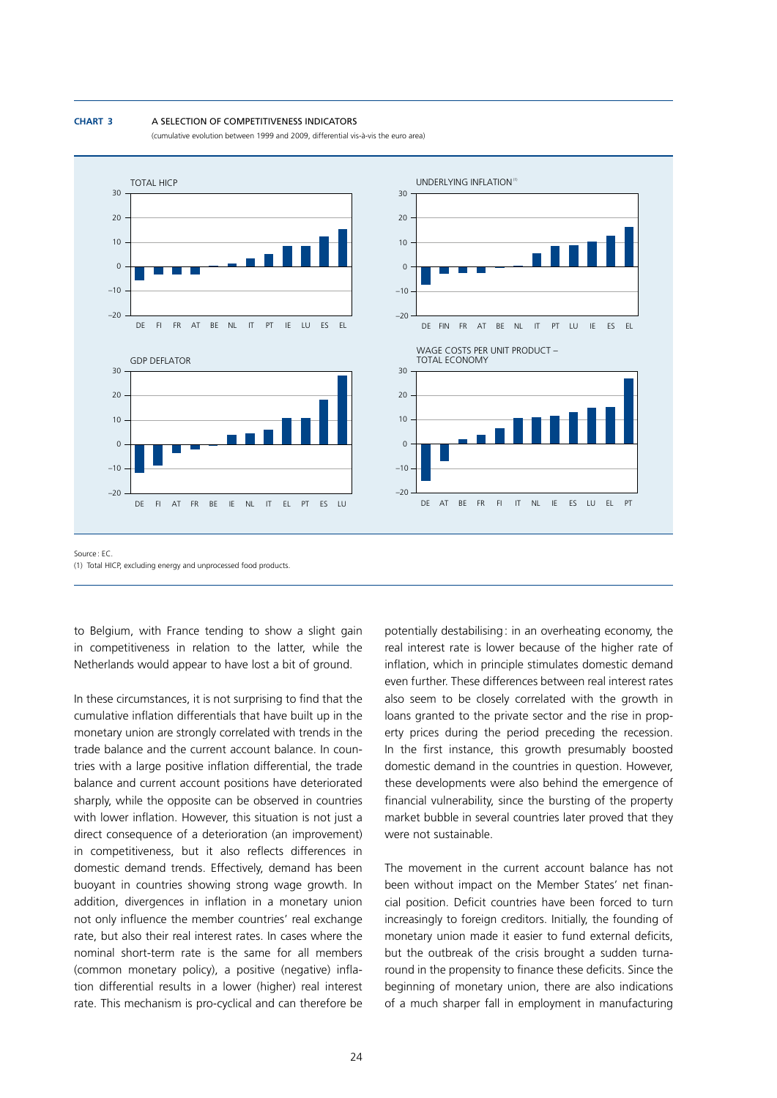#### **Chart 3** A selection of competitiveness indicators

(cumulative evolution between 1999 and 2009, differential vis-à-vis the euro area)



Source : EC. (1) Total HICP, excluding energy and unprocessed food products.

to Belgium, with France tending to show a slight gain in competitiveness in relation to the latter, while the Netherlands would appear to have lost a bit of ground.

In these circumstances, it is not surprising to find that the cumulative inflation differentials that have built up in the monetary union are strongly correlated with trends in the trade balance and the current account balance. In countries with a large positive inflation differential, the trade balance and current account positions have deteriorated sharply, while the opposite can be observed in countries with lower inflation. However, this situation is not just a direct consequence of a deterioration (an improvement) in competitiveness, but it also reflects differences in domestic demand trends. Effectively, demand has been buoyant in countries showing strong wage growth. In addition, divergences in inflation in a monetary union not only influence the member countries' real exchange rate, but also their real interest rates. In cases where the nominal short-term rate is the same for all members (common monetary policy), a positive (negative) inflation differential results in a lower (higher) real interest rate. This mechanism is pro-cyclical and can therefore be

potentially destabilising: in an overheating economy, the real interest rate is lower because of the higher rate of inflation, which in principle stimulates domestic demand even further. These differences between real interest rates also seem to be closely correlated with the growth in loans granted to the private sector and the rise in property prices during the period preceding the recession. In the first instance, this growth presumably boosted domestic demand in the countries in question. However, these developments were also behind the emergence of financial vulnerability, since the bursting of the property market bubble in several countries later proved that they were not sustainable.

The movement in the current account balance has not been without impact on the Member States' net financial position. Deficit countries have been forced to turn increasingly to foreign creditors. Initially, the founding of monetary union made it easier to fund external deficits, but the outbreak of the crisis brought a sudden turnaround in the propensity to finance these deficits. Since the beginning of monetary union, there are also indications of a much sharper fall in employment in manufacturing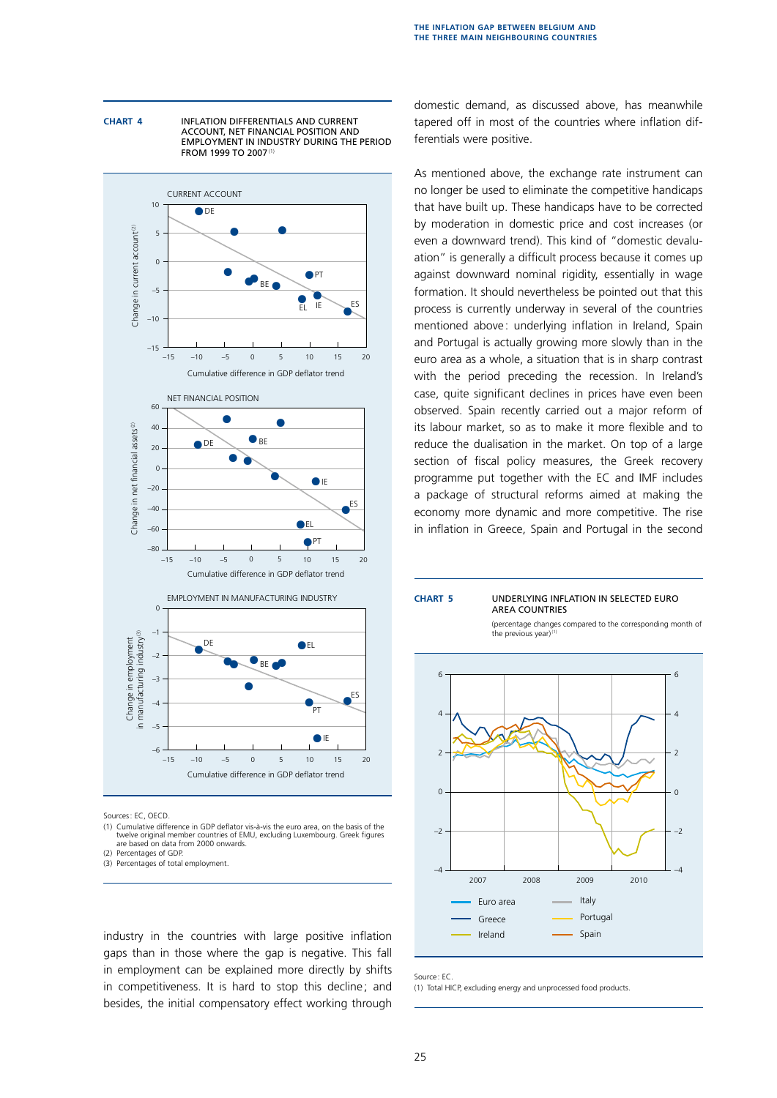**Chart 4** Inflation differentials and current account, net financial position and employment in industry during the period FROM 1999 TO 2007<sup>(1)</sup>



Sources: EC, OECD.

(1) Cumulative difference in GDP deflator vis-à-vis the euro area, on the basis of the twelve original member countries of EMU, excluding Luxembourg. Greek figures are based on data from 2000 onwards.

(2) Percentages of GDP.

(3) Percentages of total employment.

industry in the countries with large positive inflation gaps than in those where the gap is negative. This fall in employment can be explained more directly by shifts in competitiveness. It is hard to stop this decline; and besides, the initial compensatory effect working through domestic demand, as discussed above, has meanwhile tapered off in most of the countries where inflation differentials were positive.

As mentioned above, the exchange rate instrument can no longer be used to eliminate the competitive handicaps that have built up. These handicaps have to be corrected by moderation in domestic price and cost increases (or even a downward trend). This kind of "domestic devaluation" is generally a difficult process because it comes up against downward nominal rigidity, essentially in wage formation. It should nevertheless be pointed out that this process is currently underway in several of the countries mentioned above: underlying inflation in Ireland, Spain and Portugal is actually growing more slowly than in the euro area as a whole, a situation that is in sharp contrast with the period preceding the recession. In Ireland's case, quite significant declines in prices have even been observed. Spain recently carried out a major reform of its labour market, so as to make it more flexible and to reduce the dualisation in the market. On top of a large section of fiscal policy measures, the Greek recovery programme put together with the EC and IMF includes a package of structural reforms aimed at making the economy more dynamic and more competitive. The rise in inflation in Greece, Spain and Portugal in the second



Source : EC.

(1) Total HICP, excluding energy and unprocessed food products.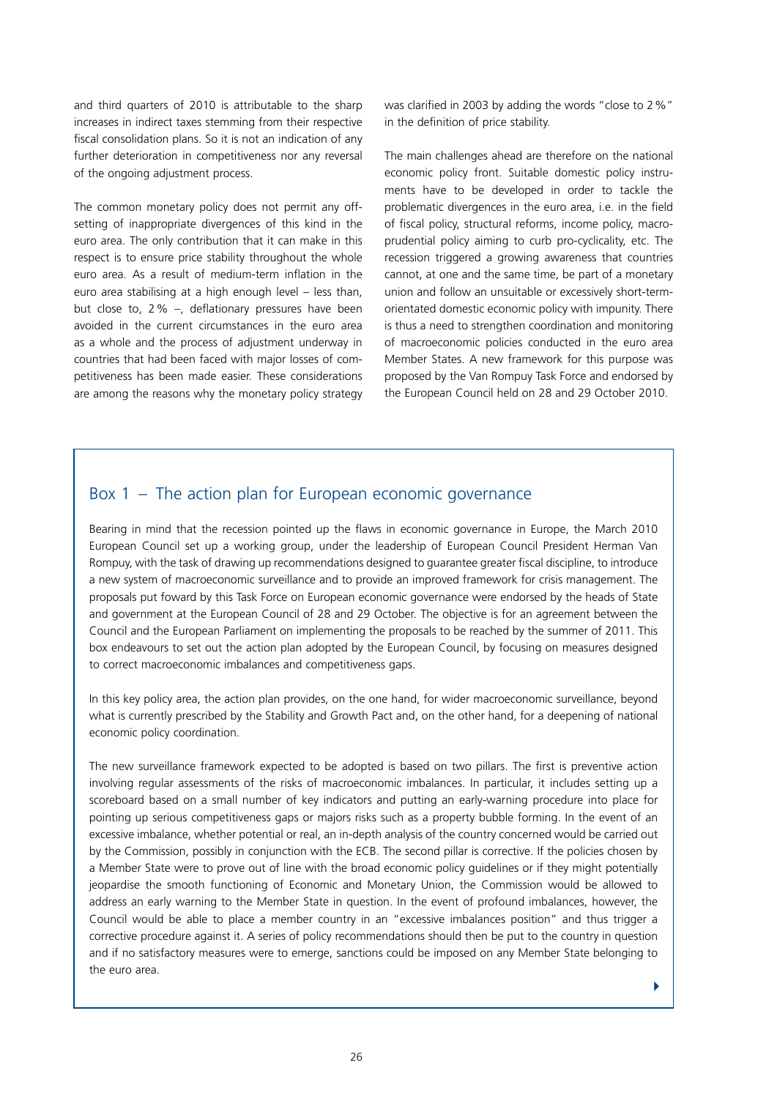and third quarters of 2010 is attributable to the sharp increases in indirect taxes stemming from their respective fiscal consolidation plans. So it is not an indication of any further deterioration in competitiveness nor any reversal of the ongoing adjustment process.

The common monetary policy does not permit any offsetting of inappropriate divergences of this kind in the euro area. The only contribution that it can make in this respect is to ensure price stability throughout the whole euro area. As a result of medium-term inflation in the euro area stabilising at a high enough level – less than, but close to, 2% –, deflationary pressures have been avoided in the current circumstances in the euro area as a whole and the process of adjustment underway in countries that had been faced with major losses of competitiveness has been made easier. These considerations are among the reasons why the monetary policy strategy was clarified in 2003 by adding the words "close to 2%" in the definition of price stability.

The main challenges ahead are therefore on the national economic policy front. Suitable domestic policy instruments have to be developed in order to tackle the problematic divergences in the euro area, i.e. in the field of fiscal policy, structural reforms, income policy, macroprudential policy aiming to curb pro-cyclicality, etc. The recession triggered a growing awareness that countries cannot, at one and the same time, be part of a monetary union and follow an unsuitable or excessively short-termorientated domestic economic policy with impunity. There is thus a need to strengthen coordination and monitoring of macroeconomic policies conducted in the euro area Member States. A new framework for this purpose was proposed by the Van Rompuy Task Force and endorsed by the European Council held on 28 and 29 October 2010.

# Box 1 – The action plan for European economic governance

Bearing in mind that the recession pointed up the flaws in economic governance in Europe, the March 2010 European Council set up a working group, under the leadership of European Council President Herman Van Rompuy, with the task of drawing up recommendations designed to guarantee greater fiscal discipline, to introduce a new system of macroeconomic surveillance and to provide an improved framework for crisis management. The proposals put foward by this Task Force on European economic governance were endorsed by the heads of State and government at the European Council of 28 and 29 October. The objective is for an agreement between the Council and the European Parliament on implementing the proposals to be reached by the summer of 2011. This box endeavours to set out the action plan adopted by the European Council, by focusing on measures designed to correct macroeconomic imbalances and competitiveness gaps.

In this key policy area, the action plan provides, on the one hand, for wider macroeconomic surveillance, beyond what is currently prescribed by the Stability and Growth Pact and, on the other hand, for a deepening of national economic policy coordination.

The new surveillance framework expected to be adopted is based on two pillars. The first is preventive action involving regular assessments of the risks of macroeconomic imbalances. In particular, it includes setting up a scoreboard based on a small number of key indicators and putting an early-warning procedure into place for pointing up serious competitiveness gaps or majors risks such as a property bubble forming. In the event of an excessive imbalance, whether potential or real, an in-depth analysis of the country concerned would be carried out by the Commission, possibly in conjunction with the ECB. The second pillar is corrective. If the policies chosen by a Member State were to prove out of line with the broad economic policy guidelines or if they might potentially jeopardise the smooth functioning of Economic and Monetary Union, the Commission would be allowed to address an early warning to the Member State in question. In the event of profound imbalances, however, the Council would be able to place a member country in an "excessive imbalances position" and thus trigger a corrective procedure against it. A series of policy recommendations should then be put to the country in question and if no satisfactory measures were to emerge, sanctions could be imposed on any Member State belonging to the euro area.

ь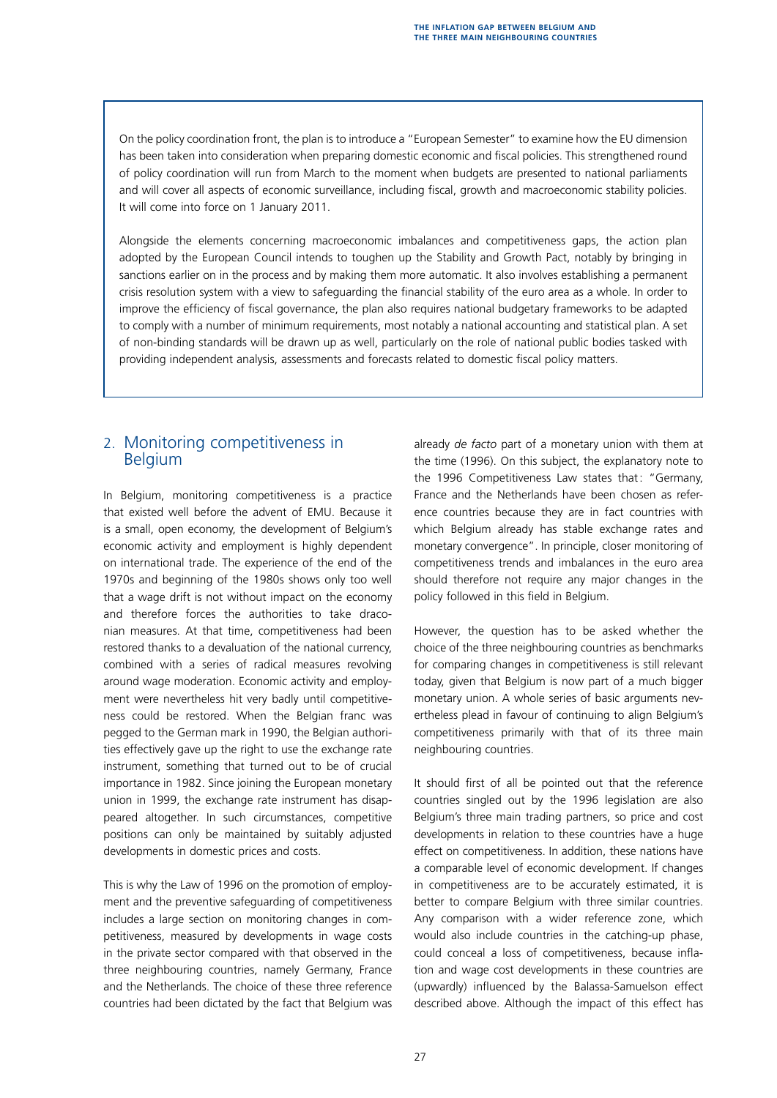On the policy coordination front, the plan is to introduce a "European Semester" to examine how the EU dimension has been taken into consideration when preparing domestic economic and fiscal policies. This strengthened round of policy coordination will run from March to the moment when budgets are presented to national parliaments and will cover all aspects of economic surveillance, including fiscal, growth and macroeconomic stability policies. It will come into force on 1 January 2011.

Alongside the elements concerning macroeconomic imbalances and competitiveness gaps, the action plan adopted by the European Council intends to toughen up the Stability and Growth Pact, notably by bringing in sanctions earlier on in the process and by making them more automatic. It also involves establishing a permanent crisis resolution system with a view to safeguarding the financial stability of the euro area as a whole. In order to improve the efficiency of fiscal governance, the plan also requires national budgetary frameworks to be adapted to comply with a number of minimum requirements, most notably a national accounting and statistical plan. A set of non-binding standards will be drawn up as well, particularly on the role of national public bodies tasked with providing independent analysis, assessments and forecasts related to domestic fiscal policy matters.

# 2. Monitoring competitiveness in Belgium

In Belgium, monitoring competitiveness is a practice that existed well before the advent of EMU. Because it is a small, open economy, the development of Belgium's economic activity and employment is highly dependent on international trade. The experience of the end of the 1970s and beginning of the 1980s shows only too well that a wage drift is not without impact on the economy and therefore forces the authorities to take draconian measures. At that time, competitiveness had been restored thanks to a devaluation of the national currency, combined with a series of radical measures revolving around wage moderation. Economic activity and employment were nevertheless hit very badly until competitiveness could be restored. When the Belgian franc was pegged to the German mark in 1990, the Belgian authorities effectively gave up the right to use the exchange rate instrument, something that turned out to be of crucial importance in 1982. Since joining the European monetary union in 1999, the exchange rate instrument has disappeared altogether. In such circumstances, competitive positions can only be maintained by suitably adjusted developments in domestic prices and costs.

This is why the Law of 1996 on the promotion of employment and the preventive safeguarding of competitiveness includes a large section on monitoring changes in competitiveness, measured by developments in wage costs in the private sector compared with that observed in the three neighbouring countries, namely Germany, France and the Netherlands. The choice of these three reference countries had been dictated by the fact that Belgium was already *de facto* part of a monetary union with them at the time (1996). On this subject, the explanatory note to the 1996 Competitiveness Law states that: "Germany, France and the Netherlands have been chosen as reference countries because they are in fact countries with which Belgium already has stable exchange rates and monetary convergence". In principle, closer monitoring of competitiveness trends and imbalances in the euro area should therefore not require any major changes in the policy followed in this field in Belgium.

However, the question has to be asked whether the choice of the three neighbouring countries as benchmarks for comparing changes in competitiveness is still relevant today, given that Belgium is now part of a much bigger monetary union. A whole series of basic arguments nevertheless plead in favour of continuing to align Belgium's competitiveness primarily with that of its three main neighbouring countries.

It should first of all be pointed out that the reference countries singled out by the 1996 legislation are also Belgium's three main trading partners, so price and cost developments in relation to these countries have a huge effect on competitiveness. In addition, these nations have a comparable level of economic development. If changes in competitiveness are to be accurately estimated, it is better to compare Belgium with three similar countries. Any comparison with a wider reference zone, which would also include countries in the catching-up phase, could conceal a loss of competitiveness, because inflation and wage cost developments in these countries are (upwardly) influenced by the Balassa-Samuelson effect described above. Although the impact of this effect has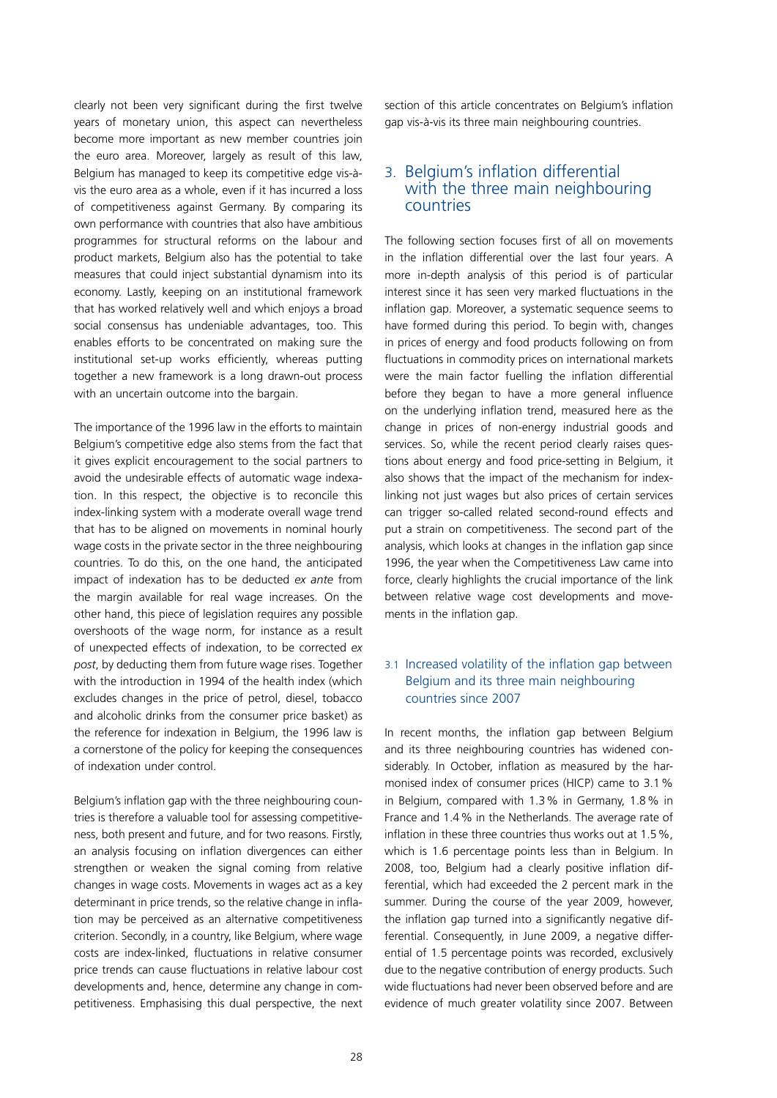clearly not been very significant during the first twelve years of monetary union, this aspect can nevertheless become more important as new member countries join the euro area. Moreover, largely as result of this law, Belgium has managed to keep its competitive edge vis-àvis the euro area as a whole, even if it has incurred a loss of competitiveness against Germany. By comparing its own performance with countries that also have ambitious programmes for structural reforms on the labour and product markets, Belgium also has the potential to take measures that could inject substantial dynamism into its economy. Lastly, keeping on an institutional framework that has worked relatively well and which enjoys a broad social consensus has undeniable advantages, too. This enables efforts to be concentrated on making sure the institutional set-up works efficiently, whereas putting together a new framework is a long drawn-out process with an uncertain outcome into the bargain.

The importance of the 1996 law in the efforts to maintain Belgium's competitive edge also stems from the fact that it gives explicit encouragement to the social partners to avoid the undesirable effects of automatic wage indexation. In this respect, the objective is to reconcile this index-linking system with a moderate overall wage trend that has to be aligned on movements in nominal hourly wage costs in the private sector in the three neighbouring countries. To do this, on the one hand, the anticipated impact of indexation has to be deducted *ex ante* from the margin available for real wage increases. On the other hand, this piece of legislation requires any possible overshoots of the wage norm, for instance as a result of unexpected effects of indexation, to be corrected *ex post*, by deducting them from future wage rises. Together with the introduction in 1994 of the health index (which excludes changes in the price of petrol, diesel, tobacco and alcoholic drinks from the consumer price basket) as the reference for indexation in Belgium, the 1996 law is a cornerstone of the policy for keeping the consequences of indexation under control.

Belgium's inflation gap with the three neighbouring countries is therefore a valuable tool for assessing competitiveness, both present and future, and for two reasons. Firstly, an analysis focusing on inflation divergences can either strengthen or weaken the signal coming from relative changes in wage costs. Movements in wages act as a key determinant in price trends, so the relative change in inflation may be perceived as an alternative competitiveness criterion. Secondly, in a country, like Belgium, where wage costs are index-linked, fluctuations in relative consumer price trends can cause fluctuations in relative labour cost developments and, hence, determine any change in competitiveness. Emphasising this dual perspective, the next section of this article concentrates on Belgium's inflation gap vis-à-vis its three main neighbouring countries.

# 3. Belgium's inflation differential with the three main neighbouring countries

The following section focuses first of all on movements in the inflation differential over the last four years. A more in-depth analysis of this period is of particular interest since it has seen very marked fluctuations in the inflation gap. Moreover, a systematic sequence seems to have formed during this period. To begin with, changes in prices of energy and food products following on from fluctuations in commodity prices on international markets were the main factor fuelling the inflation differential before they began to have a more general influence on the underlying inflation trend, measured here as the change in prices of non-energy industrial goods and services. So, while the recent period clearly raises questions about energy and food price-setting in Belgium, it also shows that the impact of the mechanism for indexlinking not just wages but also prices of certain services can trigger so-called related second-round effects and put a strain on competitiveness. The second part of the analysis, which looks at changes in the inflation gap since 1996, the year when the Competitiveness Law came into force, clearly highlights the crucial importance of the link between relative wage cost developments and movements in the inflation gap.

# 3.1 Increased volatility of the inflation gap between Belgium and its three main neighbouring countries since 2007

In recent months, the inflation gap between Belgium and its three neighbouring countries has widened considerably. In October, inflation as measured by the harmonised index of consumer prices (HICP) came to 3.1% in Belgium, compared with 1.3% in Germany, 1.8% in France and 1.4% in the Netherlands. The average rate of inflation in these three countries thus works out at 1.5%, which is 1.6 percentage points less than in Belgium. In 2008, too, Belgium had a clearly positive inflation differential, which had exceeded the 2 percent mark in the summer. During the course of the year 2009, however, the inflation gap turned into a significantly negative differential. Consequently, in June 2009, a negative differential of 1.5 percentage points was recorded, exclusively due to the negative contribution of energy products. Such wide fluctuations had never been observed before and are evidence of much greater volatility since 2007. Between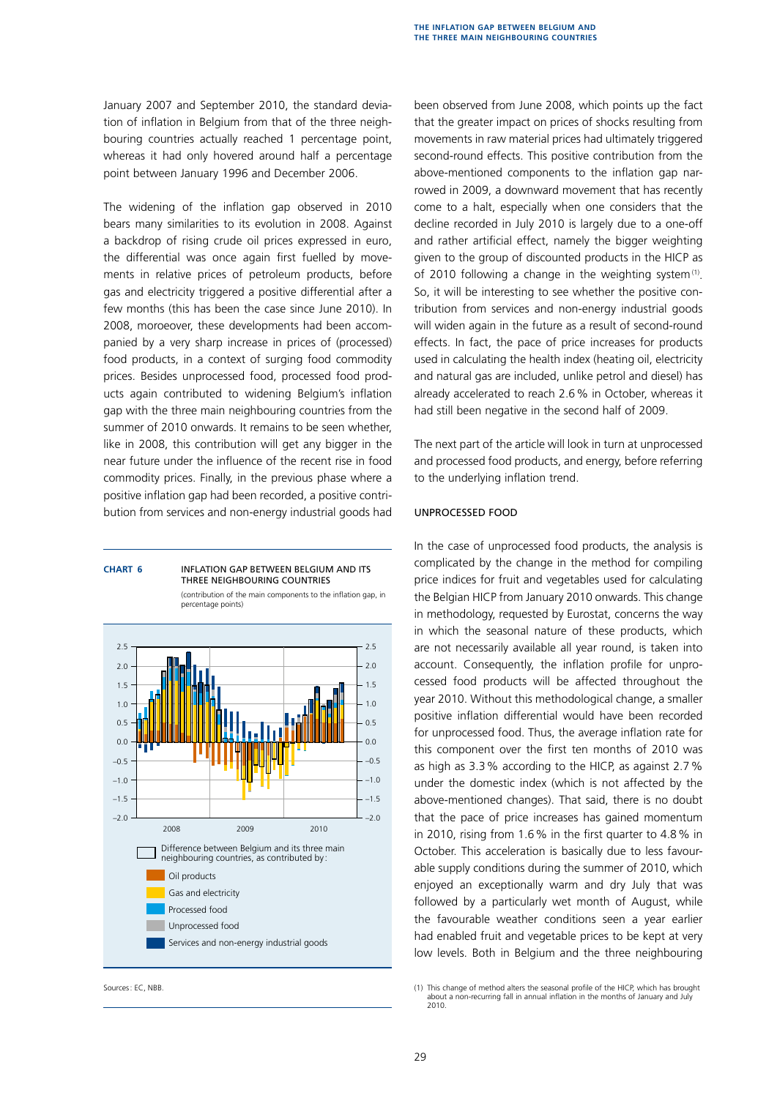January 2007 and September 2010, the standard deviation of inflation in Belgium from that of the three neighbouring countries actually reached 1 percentage point, whereas it had only hovered around half a percentage point between January 1996 and December 2006.

The widening of the inflation gap observed in 2010 bears many similarities to its evolution in 2008. Against a backdrop of rising crude oil prices expressed in euro, the differential was once again first fuelled by movements in relative prices of petroleum products, before gas and electricity triggered a positive differential after a few months (this has been the case since June 2010). In 2008, moroeover, these developments had been accompanied by a very sharp increase in prices of (processed) food products, in a context of surging food commodity prices. Besides unprocessed food, processed food products again contributed to widening Belgium's inflation gap with the three main neighbouring countries from the summer of 2010 onwards. It remains to be seen whether, like in 2008, this contribution will get any bigger in the near future under the influence of the recent rise in food commodity prices. Finally, in the previous phase where a positive inflation gap had been recorded, a positive contribution from services and non-energy industrial goods had



**Chart 6** Inflation gap between Belgium and its

been observed from June 2008, which points up the fact that the greater impact on prices of shocks resulting from movements in raw material prices had ultimately triggered second-round effects. This positive contribution from the above-mentioned components to the inflation gap narrowed in 2009, a downward movement that has recently come to a halt, especially when one considers that the decline recorded in July 2010 is largely due to a one-off and rather artificial effect, namely the bigger weighting given to the group of discounted products in the HICP as of 2010 following a change in the weighting system $(1)$ . So, it will be interesting to see whether the positive contribution from services and non-energy industrial goods will widen again in the future as a result of second-round effects. In fact, the pace of price increases for products used in calculating the health index (heating oil, electricity and natural gas are included, unlike petrol and diesel) has already accelerated to reach 2.6% in October, whereas it had still been negative in the second half of 2009.

The next part of the article will look in turn at unprocessed and processed food products, and energy, before referring to the underlying inflation trend.

#### Unprocessed food

In the case of unprocessed food products, the analysis is complicated by the change in the method for compiling price indices for fruit and vegetables used for calculating the Belgian HICP from January 2010 onwards. This change in methodology, requested by Eurostat, concerns the way in which the seasonal nature of these products, which are not necessarily available all year round, is taken into account. Consequently, the inflation profile for unprocessed food products will be affected throughout the year 2010. Without this methodological change, a smaller positive inflation differential would have been recorded for unprocessed food. Thus, the average inflation rate for this component over the first ten months of 2010 was as high as 3.3% according to the HICP, as against 2.7% under the domestic index (which is not affected by the above-mentioned changes). That said, there is no doubt that the pace of price increases has gained momentum in 2010, rising from 1.6% in the first quarter to 4.8% in October. This acceleration is basically due to less favourable supply conditions during the summer of 2010, which enjoyed an exceptionally warm and dry July that was followed by a particularly wet month of August, while the favourable weather conditions seen a year earlier had enabled fruit and vegetable prices to be kept at very low levels. Both in Belgium and the three neighbouring

Sources: EC, NBB.<br>(1) This change of method alters the seasonal profile of the HICP, which has brought (1) This change of method alters the seasonal profile of the HICP, which has brought about a non-recurring fall in annu 2010.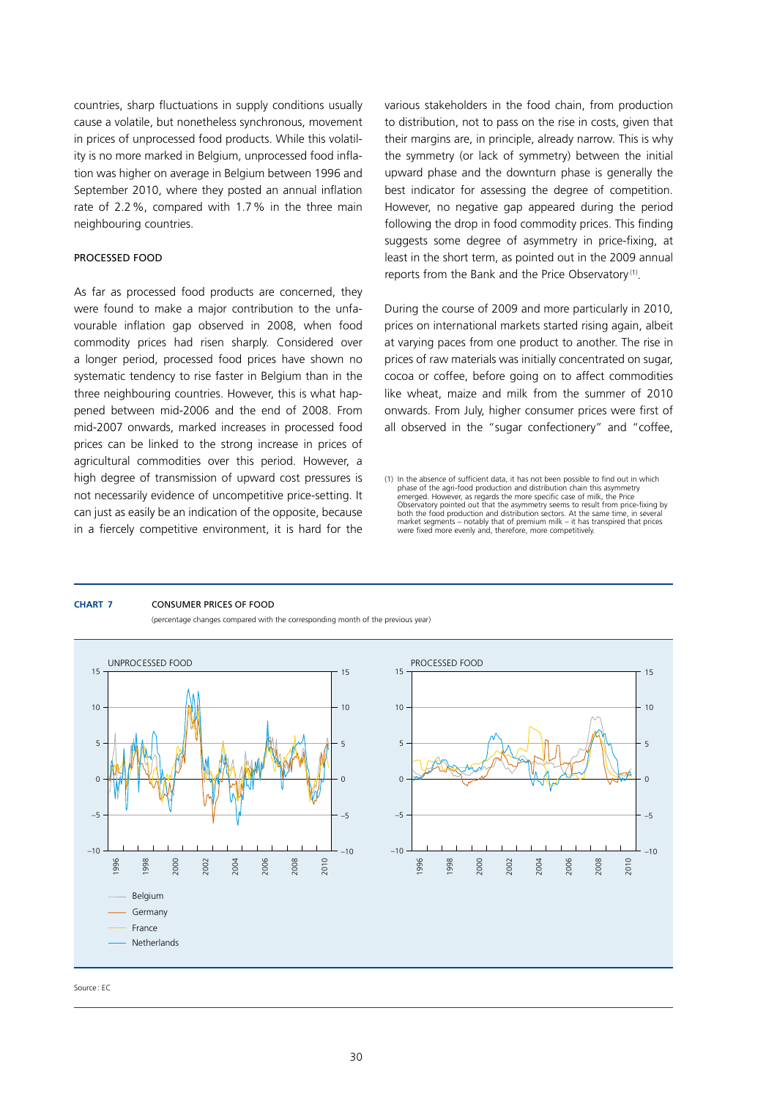countries, sharp fluctuations in supply conditions usually cause a volatile, but nonetheless synchronous, movement in prices of unprocessed food products. While this volatility is no more marked in Belgium, unprocessed food inflation was higher on average in Belgium between 1996 and September 2010, where they posted an annual inflation rate of 2.2%, compared with 1.7% in the three main neighbouring countries.

#### processed food

As far as processed food products are concerned, they were found to make a major contribution to the unfavourable inflation gap observed in 2008, when food commodity prices had risen sharply. Considered over a longer period, processed food prices have shown no systematic tendency to rise faster in Belgium than in the three neighbouring countries. However, this is what happened between mid-2006 and the end of 2008. From mid-2007 onwards, marked increases in processed food prices can be linked to the strong increase in prices of agricultural commodities over this period. However, a high degree of transmission of upward cost pressures is not necessarily evidence of uncompetitive price-setting. It can just as easily be an indication of the opposite, because in a fiercely competitive environment, it is hard for the various stakeholders in the food chain, from production to distribution, not to pass on the rise in costs, given that their margins are, in principle, already narrow. This is why the symmetry (or lack of symmetry) between the initial upward phase and the downturn phase is generally the best indicator for assessing the degree of competition. However, no negative gap appeared during the period following the drop in food commodity prices. This finding suggests some degree of asymmetry in price-fixing, at least in the short term, as pointed out in the 2009 annual reports from the Bank and the Price Observatory<sup>(1)</sup>.

During the course of 2009 and more particularly in 2010, prices on international markets started rising again, albeit at varying paces from one product to another. The rise in prices of raw materials was initially concentrated on sugar, cocoa or coffee, before going on to affect commodities like wheat, maize and milk from the summer of 2010 onwards. From July, higher consumer prices were first of all observed in the "sugar confectionery" and "coffee,

#### **Chart 7** Consumer prices of food

(percentage changes compared with the corresponding month of the previous year)





<sup>(1)</sup> In the absence of sufficient data, it has not been possible to find out in which phase of the agri-food production and distribution chain this asymmetry emerged. However, as regards the more specific case of milk, the Price Observatory pointed out that the asymmetry seems to result from price-fixing by both the food production and distribution sectors. At the same time, in several market segments – notably that of premium milk – it has transpired that prices were fixed more evenly and, therefore, more competitively.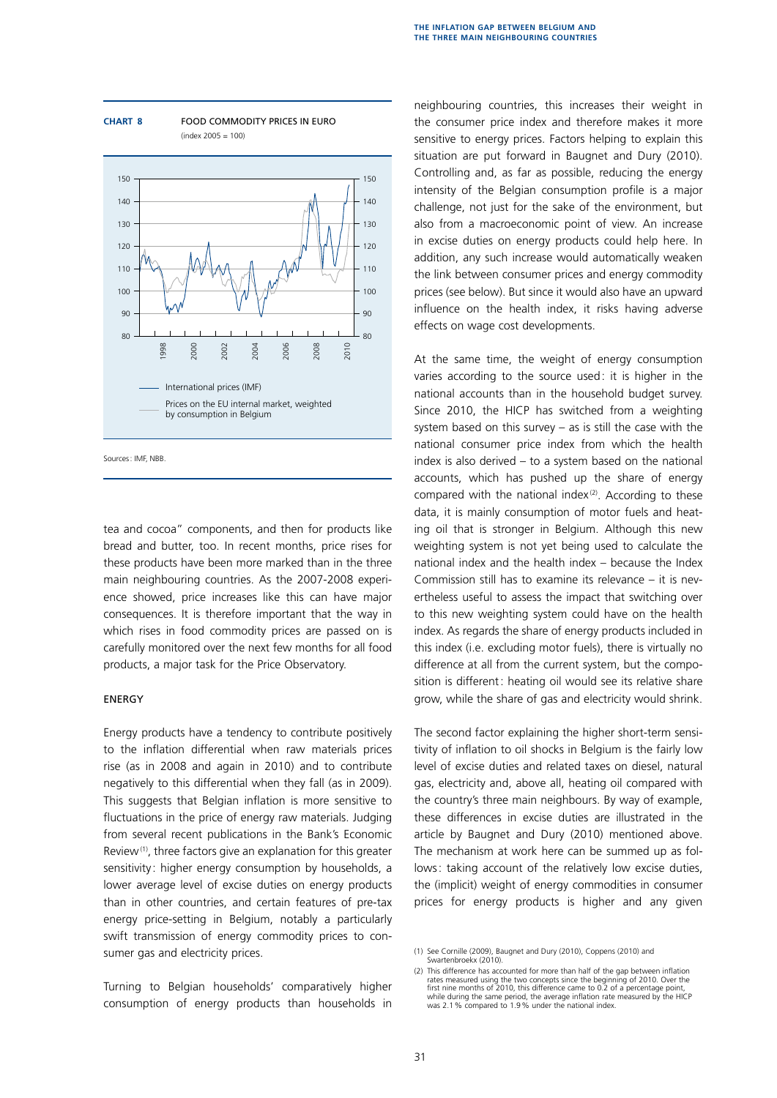

**Chart 8** Food commodity prices in euro  $(index 2005 = 100)$ 

Sources: IMF, NBB.

tea and cocoa" components, and then for products like bread and butter, too. In recent months, price rises for these products have been more marked than in the three main neighbouring countries. As the 2007-2008 experience showed, price increases like this can have major consequences. It is therefore important that the way in which rises in food commodity prices are passed on is carefully monitored over the next few months for all food products, a major task for the Price Observatory.

#### **ENERGY**

Energy products have a tendency to contribute positively to the inflation differential when raw materials prices rise (as in 2008 and again in 2010) and to contribute negatively to this differential when they fall (as in 2009). This suggests that Belgian inflation is more sensitive to fluctuations in the price of energy raw materials. Judging from several recent publications in the Bank's Economic Review<sup>(1)</sup>, three factors give an explanation for this greater sensitivity: higher energy consumption by households, a lower average level of excise duties on energy products than in other countries, and certain features of pre-tax energy price-setting in Belgium, notably a particularly swift transmission of energy commodity prices to consumer gas and electricity prices.

Turning to Belgian households' comparatively higher consumption of energy products than households in neighbouring countries, this increases their weight in the consumer price index and therefore makes it more sensitive to energy prices. Factors helping to explain this situation are put forward in Baugnet and Dury (2010). Controlling and, as far as possible, reducing the energy intensity of the Belgian consumption profile is a major challenge, not just for the sake of the environment, but also from a macroeconomic point of view. An increase in excise duties on energy products could help here. In addition, any such increase would automatically weaken the link between consumer prices and energy commodity prices (see below). But since it would also have an upward influence on the health index, it risks having adverse effects on wage cost developments.

At the same time, the weight of energy consumption varies according to the source used: it is higher in the national accounts than in the household budget survey. Since 2010, the HICP has switched from a weighting system based on this survey – as is still the case with the national consumer price index from which the health index is also derived – to a system based on the national accounts, which has pushed up the share of energy compared with the national index $(2)$ . According to these data, it is mainly consumption of motor fuels and heating oil that is stronger in Belgium. Although this new weighting system is not yet being used to calculate the national index and the health index – because the Index Commission still has to examine its relevance – it is nevertheless useful to assess the impact that switching over to this new weighting system could have on the health index. As regards the share of energy products included in this index (i.e. excluding motor fuels), there is virtually no difference at all from the current system, but the composition is different: heating oil would see its relative share grow, while the share of gas and electricity would shrink.

The second factor explaining the higher short-term sensitivity of inflation to oil shocks in Belgium is the fairly low level of excise duties and related taxes on diesel, natural gas, electricity and, above all, heating oil compared with the country's three main neighbours. By way of example, these differences in excise duties are illustrated in the article by Baugnet and Dury (2010) mentioned above. The mechanism at work here can be summed up as follows: taking account of the relatively low excise duties, the (implicit) weight of energy commodities in consumer prices for energy products is higher and any given

<sup>(1)</sup> See Cornille (2009), Baugnet and Dury (2010), Coppens (2010) and Swartenbroekx (2010).

<sup>(2)</sup> This difference has accounted for more than half of the gap between inflation rates measured using the two concepts since the beginning of 2010. Over the<br>first nine months of 2010, this difference came to 0.2 of a percentage point,<br>while during the same period, the average inflation rate measured by was 2.1% compared to 1.9% under the national index.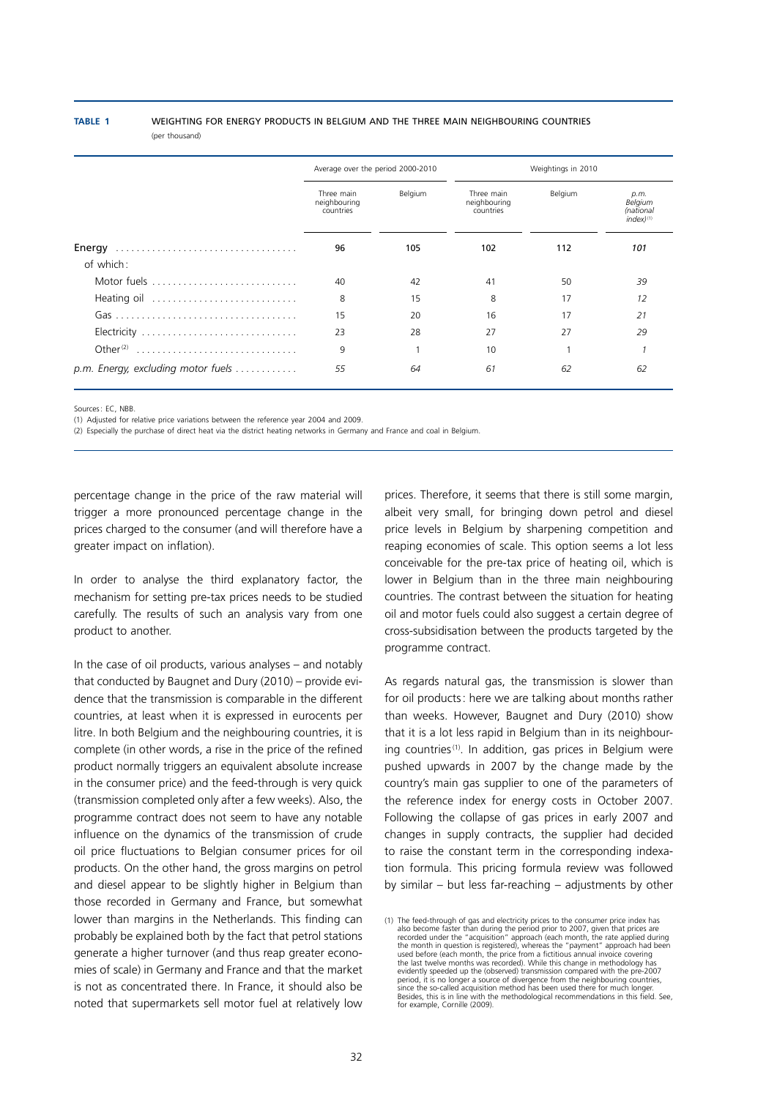**Table 1** Weighting for energy products in Belgium and the three main neighBouring countries

(per thousand)

|                                                             | Average over the period 2000-2010       |         | Weightings in 2010                      |         |                                                |
|-------------------------------------------------------------|-----------------------------------------|---------|-----------------------------------------|---------|------------------------------------------------|
|                                                             | Three main<br>neighbouring<br>countries | Belgium | Three main<br>neighbouring<br>countries | Belgium | p.m.<br>Belgium<br>(national<br>$index)^{(1)}$ |
|                                                             | 96                                      | 105     | 102                                     | 112     | 101                                            |
| of which:                                                   |                                         |         |                                         |         |                                                |
| Motor fuels                                                 | 40                                      | 42      | 41                                      | 50      | 39                                             |
| Heating oil                                                 | 8                                       | 15      | 8                                       | 17      | 12                                             |
|                                                             | 15                                      | 20      | 16                                      | 17      | 21                                             |
| Electricity                                                 | 23                                      | 28      | 27                                      | 27      | 29                                             |
| Other <sup>(2)</sup>                                        | 9                                       |         | 10                                      |         |                                                |
| $p.m.$ Energy, excluding motor fuels $\ldots \ldots \ldots$ | 55                                      | 64      | 61                                      | 62      | 62                                             |

Sources: EC. NRR

(1) Adjusted for relative price variations between the reference year 2004 and 2009.

(2) Especially the purchase of direct heat via the district heating networks in Germany and France and coal in Belgium.

percentage change in the price of the raw material will trigger a more pronounced percentage change in the prices charged to the consumer (and will therefore have a greater impact on inflation).

In order to analyse the third explanatory factor, the mechanism for setting pre-tax prices needs to be studied carefully. The results of such an analysis vary from one product to another.

In the case of oil products, various analyses – and notably that conducted by Baugnet and Dury (2010) – provide evidence that the transmission is comparable in the different countries, at least when it is expressed in eurocents per litre. In both Belgium and the neighbouring countries, it is complete (in other words, a rise in the price of the refined product normally triggers an equivalent absolute increase in the consumer price) and the feed-through is very quick (transmission completed only after a few weeks). Also, the programme contract does not seem to have any notable influence on the dynamics of the transmission of crude oil price fluctuations to Belgian consumer prices for oil products. On the other hand, the gross margins on petrol and diesel appear to be slightly higher in Belgium than those recorded in Germany and France, but somewhat lower than margins in the Netherlands. This finding can probably be explained both by the fact that petrol stations generate a higher turnover (and thus reap greater economies of scale) in Germany and France and that the market is not as concentrated there. In France, it should also be noted that supermarkets sell motor fuel at relatively low prices. Therefore, it seems that there is still some margin, albeit very small, for bringing down petrol and diesel price levels in Belgium by sharpening competition and reaping economies of scale. This option seems a lot less conceivable for the pre-tax price of heating oil, which is lower in Belgium than in the three main neighbouring countries. The contrast between the situation for heating oil and motor fuels could also suggest a certain degree of cross-subsidisation between the products targeted by the programme contract.

As regards natural gas, the transmission is slower than for oil products: here we are talking about months rather than weeks. However, Baugnet and Dury (2010) show that it is a lot less rapid in Belgium than in its neighbouring countries<sup>(1)</sup>. In addition, gas prices in Belgium were pushed upwards in 2007 by the change made by the country's main gas supplier to one of the parameters of the reference index for energy costs in October 2007. Following the collapse of gas prices in early 2007 and changes in supply contracts, the supplier had decided to raise the constant term in the corresponding indexation formula. This pricing formula review was followed by similar – but less far-reaching – adjustments by other

<sup>(1)</sup> The feed-through of gas and electricity prices to the consumer price index has also become faster than during the period prior to 2007, given that prices are recorded under the "acquisition" approach (each month, the rate applied during the month in question is registered), whereas the "payment" appr evidently speeded up the (observed) transmission compared with the pre-2007 period, it is no longer a source of divergence from the neighbouring countries,<br>since the so-called acquisition method has been used there for much longer.<br>Besides, this is in line with the methodological recommendations i for example, Cornille (2009).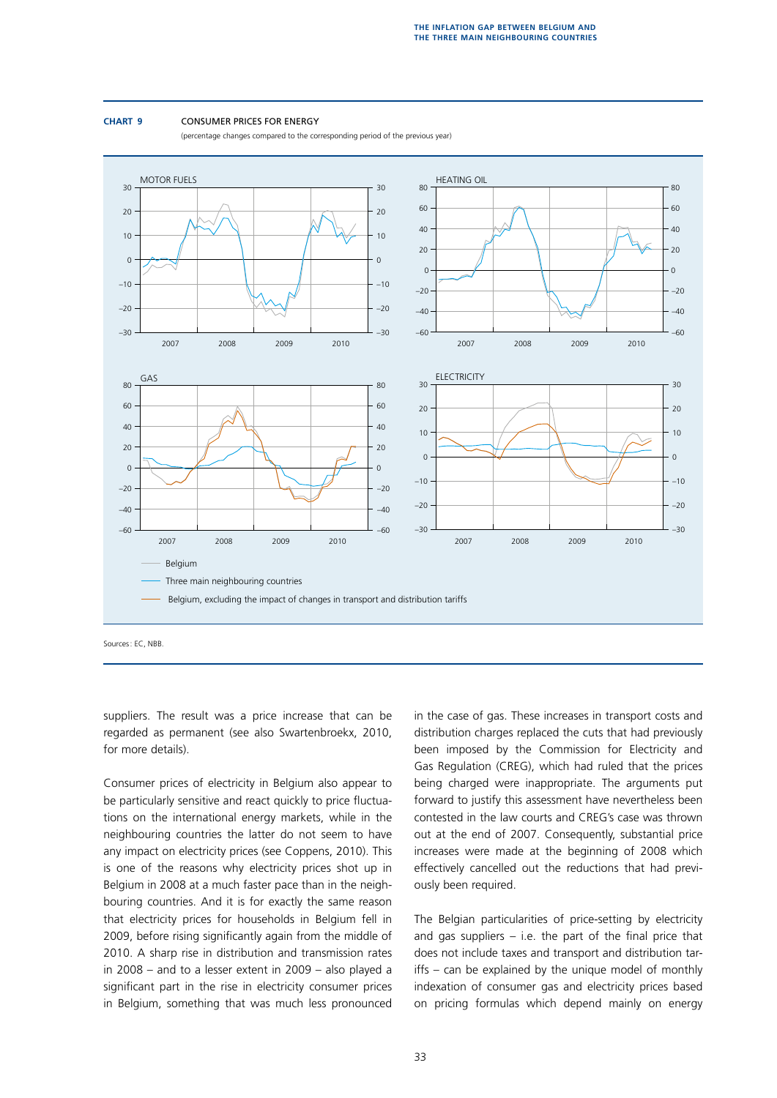#### **Chart 9** Consumer prices for energy

(percentage changes compared to the corresponding period of the previous year)



Sources: EC, NBB.

suppliers. The result was a price increase that can be regarded as permanent (see also Swartenbroekx, 2010, for more details).

Consumer prices of electricity in Belgium also appear to be particularly sensitive and react quickly to price fluctuations on the international energy markets, while in the neighbouring countries the latter do not seem to have any impact on electricity prices (see Coppens, 2010). This is one of the reasons why electricity prices shot up in Belgium in 2008 at a much faster pace than in the neighbouring countries. And it is for exactly the same reason that electricity prices for households in Belgium fell in 2009, before rising significantly again from the middle of 2010. A sharp rise in distribution and transmission rates in 2008 – and to a lesser extent in 2009 – also played a significant part in the rise in electricity consumer prices in Belgium, something that was much less pronounced in the case of gas. These increases in transport costs and distribution charges replaced the cuts that had previously been imposed by the Commission for Electricity and Gas Regulation (CREG), which had ruled that the prices being charged were inappropriate. The arguments put forward to justify this assessment have nevertheless been contested in the law courts and CREG's case was thrown out at the end of 2007. Consequently, substantial price increases were made at the beginning of 2008 which effectively cancelled out the reductions that had previously been required.

The Belgian particularities of price-setting by electricity and gas suppliers  $-$  i.e. the part of the final price that does not include taxes and transport and distribution tariffs – can be explained by the unique model of monthly indexation of consumer gas and electricity prices based on pricing formulas which depend mainly on energy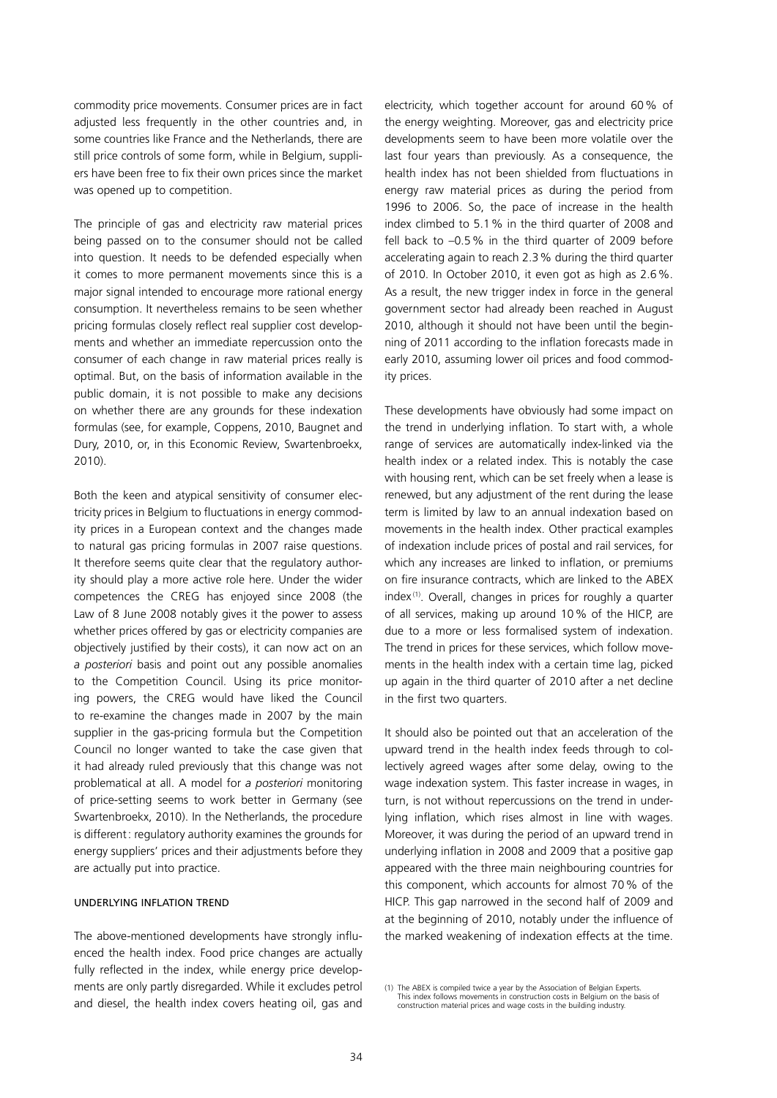commodity price movements. Consumer prices are in fact adjusted less frequently in the other countries and, in some countries like France and the Netherlands, there are still price controls of some form, while in Belgium, suppliers have been free to fix their own prices since the market was opened up to competition.

The principle of gas and electricity raw material prices being passed on to the consumer should not be called into question. It needs to be defended especially when it comes to more permanent movements since this is a major signal intended to encourage more rational energy consumption. It nevertheless remains to be seen whether pricing formulas closely reflect real supplier cost developments and whether an immediate repercussion onto the consumer of each change in raw material prices really is optimal. But, on the basis of information available in the public domain, it is not possible to make any decisions on whether there are any grounds for these indexation formulas (see, for example, Coppens, 2010, Baugnet and Dury, 2010, or, in this Economic Review, Swartenbroekx, 2010).

Both the keen and atypical sensitivity of consumer electricity prices in Belgium to fluctuations in energy commodity prices in a European context and the changes made to natural gas pricing formulas in 2007 raise questions. It therefore seems quite clear that the regulatory authority should play a more active role here. Under the wider competences the CREG has enjoyed since 2008 (the Law of 8 June 2008 notably gives it the power to assess whether prices offered by gas or electricity companies are objectively justified by their costs), it can now act on an *a posteriori* basis and point out any possible anomalies to the Competition Council. Using its price monitoring powers, the CREG would have liked the Council to re-examine the changes made in 2007 by the main supplier in the gas-pricing formula but the Competition Council no longer wanted to take the case given that it had already ruled previously that this change was not problematical at all. A model for *a posteriori* monitoring of price-setting seems to work better in Germany (see Swartenbroekx, 2010). In the Netherlands, the procedure is different: regulatory authority examines the grounds for energy suppliers' prices and their adjustments before they are actually put into practice.

### Underlying inflation trend

The above-mentioned developments have strongly influenced the health index. Food price changes are actually fully reflected in the index, while energy price developments are only partly disregarded. While it excludes petrol and diesel, the health index covers heating oil, gas and electricity, which together account for around 60% of the energy weighting. Moreover, gas and electricity price developments seem to have been more volatile over the last four years than previously. As a consequence, the health index has not been shielded from fluctuations in energy raw material prices as during the period from 1996 to 2006. So, the pace of increase in the health index climbed to 5.1% in the third quarter of 2008 and fell back to –0.5% in the third quarter of 2009 before accelerating again to reach 2.3% during the third quarter of 2010. In October 2010, it even got as high as 2.6%. As a result, the new trigger index in force in the general government sector had already been reached in August 2010, although it should not have been until the beginning of 2011 according to the inflation forecasts made in early 2010, assuming lower oil prices and food commodity prices.

These developments have obviously had some impact on the trend in underlying inflation. To start with, a whole range of services are automatically index-linked via the health index or a related index. This is notably the case with housing rent, which can be set freely when a lease is renewed, but any adjustment of the rent during the lease term is limited by law to an annual indexation based on movements in the health index. Other practical examples of indexation include prices of postal and rail services, for which any increases are linked to inflation, or premiums on fire insurance contracts, which are linked to the ABEX index (1). Overall, changes in prices for roughly a quarter of all services, making up around 10% of the HICP, are due to a more or less formalised system of indexation. The trend in prices for these services, which follow movements in the health index with a certain time lag, picked up again in the third quarter of 2010 after a net decline in the first two quarters.

It should also be pointed out that an acceleration of the upward trend in the health index feeds through to collectively agreed wages after some delay, owing to the wage indexation system. This faster increase in wages, in turn, is not without repercussions on the trend in underlying inflation, which rises almost in line with wages. Moreover, it was during the period of an upward trend in underlying inflation in 2008 and 2009 that a positive gap appeared with the three main neighbouring countries for this component, which accounts for almost 70% of the HICP. This gap narrowed in the second half of 2009 and at the beginning of 2010, notably under the influence of the marked weakening of indexation effects at the time.

<sup>(1)</sup> The ABEX is compiled twice a year by the Association of Belgian Experts. This index follows movements in construction costs in Belgium on the basis of construction material prices and wage costs in the building industry.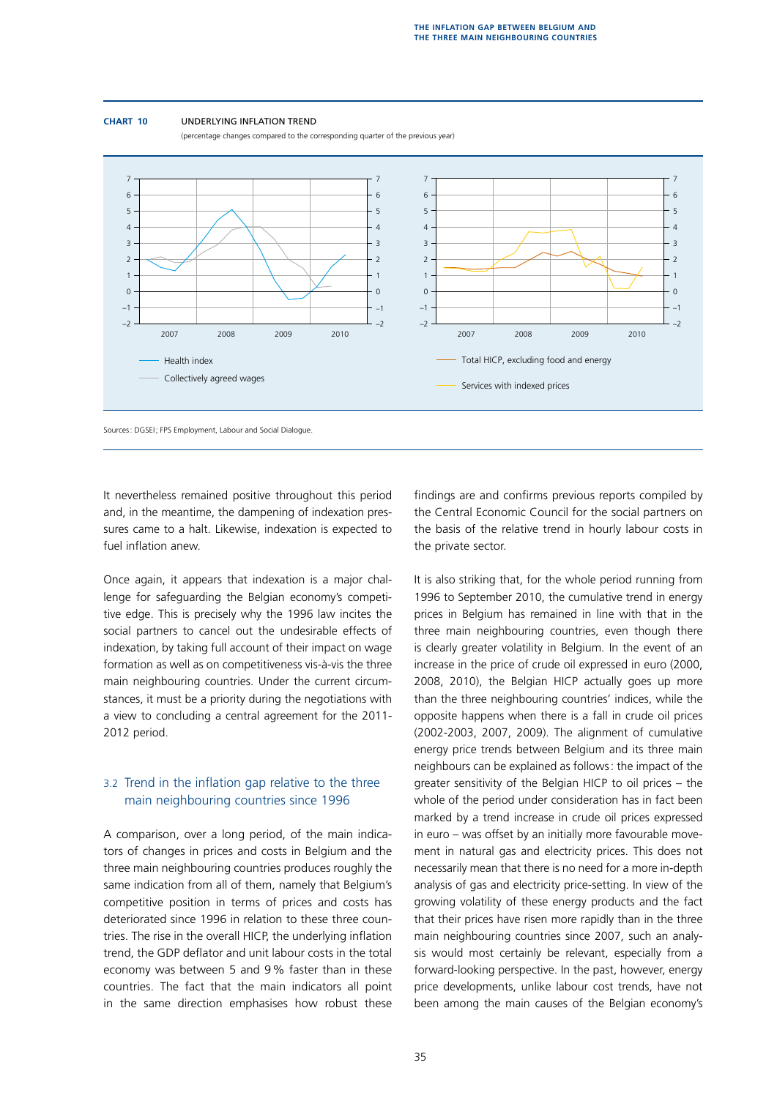

(percentage changes compared to the corresponding quarter of the previous year)



Sources: DGSEI; FPS Employment, Labour and Social Dialogue.

It nevertheless remained positive throughout this period and, in the meantime, the dampening of indexation pressures came to a halt. Likewise, indexation is expected to fuel inflation anew.

Once again, it appears that indexation is a major challenge for safeguarding the Belgian economy's competitive edge. This is precisely why the 1996 law incites the social partners to cancel out the undesirable effects of indexation, by taking full account of their impact on wage formation as well as on competitiveness vis-à-vis the three main neighbouring countries. Under the current circumstances, it must be a priority during the negotiations with a view to concluding a central agreement for the 2011- 2012 period.

## 3.2 Trend in the inflation gap relative to the three main neighbouring countries since 1996

A comparison, over a long period, of the main indicators of changes in prices and costs in Belgium and the three main neighbouring countries produces roughly the same indication from all of them, namely that Belgium's competitive position in terms of prices and costs has deteriorated since 1996 in relation to these three countries. The rise in the overall HICP, the underlying inflation trend, the GDP deflator and unit labour costs in the total economy was between 5 and 9% faster than in these countries. The fact that the main indicators all point in the same direction emphasises how robust these findings are and confirms previous reports compiled by the Central Economic Council for the social partners on the basis of the relative trend in hourly labour costs in the private sector.

It is also striking that, for the whole period running from 1996 to September 2010, the cumulative trend in energy prices in Belgium has remained in line with that in the three main neighbouring countries, even though there is clearly greater volatility in Belgium. In the event of an increase in the price of crude oil expressed in euro (2000, 2008, 2010), the Belgian HICP actually goes up more than the three neighbouring countries' indices, while the opposite happens when there is a fall in crude oil prices (2002-2003, 2007, 2009). The alignment of cumulative energy price trends between Belgium and its three main neighbours can be explained as follows: the impact of the greater sensitivity of the Belgian HICP to oil prices – the whole of the period under consideration has in fact been marked by a trend increase in crude oil prices expressed in euro – was offset by an initially more favourable movement in natural gas and electricity prices. This does not necessarily mean that there is no need for a more in-depth analysis of gas and electricity price-setting. In view of the growing volatility of these energy products and the fact that their prices have risen more rapidly than in the three main neighbouring countries since 2007, such an analysis would most certainly be relevant, especially from a forward-looking perspective. In the past, however, energy price developments, unlike labour cost trends, have not been among the main causes of the Belgian economy's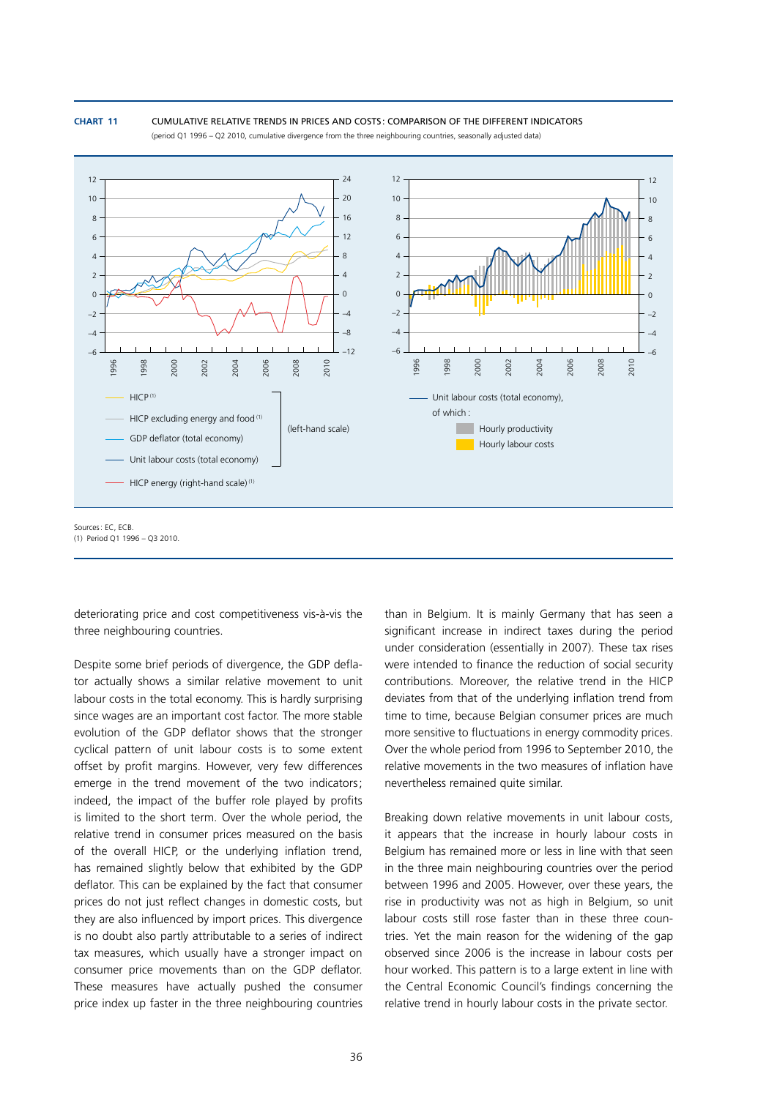#### **Chart 11** Cumulative relative trends in prices and costs : comparison of the different indicators (period Q1 1996 – Q2 2010, cumulative divergence from the three neighbouring countries, seasonally adjusted data)



deteriorating price and cost competitiveness vis-à-vis the three neighbouring countries.

Despite some brief periods of divergence, the GDP deflator actually shows a similar relative movement to unit labour costs in the total economy. This is hardly surprising since wages are an important cost factor. The more stable evolution of the GDP deflator shows that the stronger cyclical pattern of unit labour costs is to some extent offset by profit margins. However, very few differences emerge in the trend movement of the two indicators; indeed, the impact of the buffer role played by profits is limited to the short term. Over the whole period, the relative trend in consumer prices measured on the basis of the overall HICP, or the underlying inflation trend, has remained slightly below that exhibited by the GDP deflator. This can be explained by the fact that consumer prices do not just reflect changes in domestic costs, but they are also influenced by import prices. This divergence is no doubt also partly attributable to a series of indirect tax measures, which usually have a stronger impact on consumer price movements than on the GDP deflator. These measures have actually pushed the consumer price index up faster in the three neighbouring countries

than in Belgium. It is mainly Germany that has seen a significant increase in indirect taxes during the period under consideration (essentially in 2007). These tax rises were intended to finance the reduction of social security contributions. Moreover, the relative trend in the HICP deviates from that of the underlying inflation trend from time to time, because Belgian consumer prices are much more sensitive to fluctuations in energy commodity prices. Over the whole period from 1996 to September 2010, the relative movements in the two measures of inflation have nevertheless remained quite similar.

Breaking down relative movements in unit labour costs, it appears that the increase in hourly labour costs in Belgium has remained more or less in line with that seen in the three main neighbouring countries over the period between 1996 and 2005. However, over these years, the rise in productivity was not as high in Belgium, so unit labour costs still rose faster than in these three countries. Yet the main reason for the widening of the gap observed since 2006 is the increase in labour costs per hour worked. This pattern is to a large extent in line with the Central Economic Council's findings concerning the relative trend in hourly labour costs in the private sector.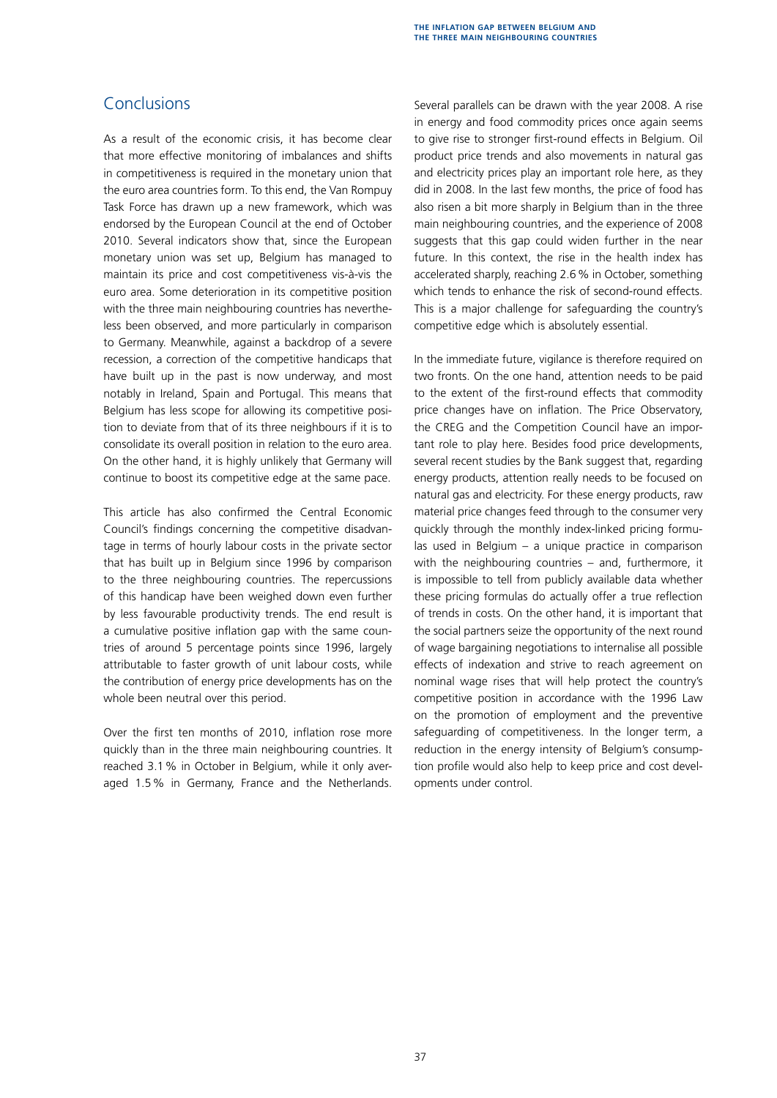# **Conclusions**

As a result of the economic crisis, it has become clear that more effective monitoring of imbalances and shifts in competitiveness is required in the monetary union that the euro area countries form. To this end, the Van Rompuy Task Force has drawn up a new framework, which was endorsed by the European Council at the end of October 2010. Several indicators show that, since the European monetary union was set up, Belgium has managed to maintain its price and cost competitiveness vis-à-vis the euro area. Some deterioration in its competitive position with the three main neighbouring countries has nevertheless been observed, and more particularly in comparison to Germany. Meanwhile, against a backdrop of a severe recession, a correction of the competitive handicaps that have built up in the past is now underway, and most notably in Ireland, Spain and Portugal. This means that Belgium has less scope for allowing its competitive position to deviate from that of its three neighbours if it is to consolidate its overall position in relation to the euro area. On the other hand, it is highly unlikely that Germany will continue to boost its competitive edge at the same pace.

This article has also confirmed the Central Economic Council's findings concerning the competitive disadvantage in terms of hourly labour costs in the private sector that has built up in Belgium since 1996 by comparison to the three neighbouring countries. The repercussions of this handicap have been weighed down even further by less favourable productivity trends. The end result is a cumulative positive inflation gap with the same countries of around 5 percentage points since 1996, largely attributable to faster growth of unit labour costs, while the contribution of energy price developments has on the whole been neutral over this period.

Over the first ten months of 2010, inflation rose more quickly than in the three main neighbouring countries. It reached 3.1% in October in Belgium, while it only averaged 1.5% in Germany, France and the Netherlands. Several parallels can be drawn with the year 2008. A rise in energy and food commodity prices once again seems to give rise to stronger first-round effects in Belgium. Oil product price trends and also movements in natural gas and electricity prices play an important role here, as they did in 2008. In the last few months, the price of food has also risen a bit more sharply in Belgium than in the three main neighbouring countries, and the experience of 2008 suggests that this gap could widen further in the near future. In this context, the rise in the health index has accelerated sharply, reaching 2.6% in October, something which tends to enhance the risk of second-round effects. This is a major challenge for safeguarding the country's competitive edge which is absolutely essential.

In the immediate future, vigilance is therefore required on two fronts. On the one hand, attention needs to be paid to the extent of the first-round effects that commodity price changes have on inflation. The Price Observatory, the CREG and the Competition Council have an important role to play here. Besides food price developments, several recent studies by the Bank suggest that, regarding energy products, attention really needs to be focused on natural gas and electricity. For these energy products, raw material price changes feed through to the consumer very quickly through the monthly index-linked pricing formulas used in Belgium – a unique practice in comparison with the neighbouring countries – and, furthermore, it is impossible to tell from publicly available data whether these pricing formulas do actually offer a true reflection of trends in costs. On the other hand, it is important that the social partners seize the opportunity of the next round of wage bargaining negotiations to internalise all possible effects of indexation and strive to reach agreement on nominal wage rises that will help protect the country's competitive position in accordance with the 1996 Law on the promotion of employment and the preventive safeguarding of competitiveness. In the longer term, a reduction in the energy intensity of Belgium's consumption profile would also help to keep price and cost developments under control.